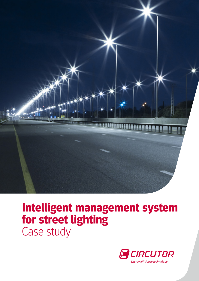

## **Intelligent management system for street lighting** Case study

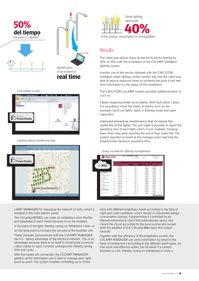

# e-mail **real time**

#### Unit edition screen



#### Lighting status monitoring map



LAMP MANAGER for managing the network of units, which is installed in the main electric panel.

The CirLamp NODES can make an installation more flexible and adaptable to each need, because it can be installed:

in the base of the light, thereby saving on installation costs, or on the lamp post to increase the security of the installed unit.

These modules communicate with the CirLAMP MANAGER via PLC, taking advantage of the electrical network. This is an advantage because there is no need to install extra communication cables or open conduits underground, thereby saving time and costs.

After the nodes are connected, the CirLAMP MANAGER gathers all the information and is able to manage each light point-to-point. The system enables controlling up to 4 time



### Results

The client was able to lower its electricity bill for lighting by 30% to 35% with the installation of the CirLAMP intelligent lighting system.

Another one of the results obtained with the CIRCUTOR intelligent street lighting control system was that the client was able to reduce response times to incidents because it had real time information on the status of the installation.

The CIRCUTOR CirLAMP system provided additional bene ts such as:

Faster response times to incidents: With fault identi cation, it is possible to know the status of alarms such as, for example, burnt out lights, lights in blinking mode and open capacitors.

Improved preventive maintenance that increases the useful life of the lights: The unit made it possible to report the operating time of each light, which in turn enabled changing them when they were reaching the end of their useful life. The system reported an event to the manager when reaching the programmed maximum operating time.

#### Query via web for lighting management

|                        |                    | Identificador CIR 1311306016 Cirl AMP |              |                      |                |          | Conectados: 17 / 17 |                           |  |
|------------------------|--------------------|---------------------------------------|--------------|----------------------|----------------|----------|---------------------|---------------------------|--|
| <b>C</b> CIRCUTOR      |                    |                                       | Versión PLC: |                      |                | 2.3.1    | Version 0.1.3       |                           |  |
|                        |                    |                                       |              |                      |                |          |                     |                           |  |
|                        |                    | Tabla de equipos                      |              |                      |                |          |                     |                           |  |
| Via WEB                | ×                  | Identificador del nodo                |              | Referencia<br>Estado |                | Latitude | Longitude           | Aberras                   |  |
|                        | 1                  | 1301350015                            | A            | Test 1               |                | 0.000000 | 0.000000            | <b>OK</b>                 |  |
|                        | $\overline{2}$     | 1301350118                            | A            | Test 2               |                | 0.000000 | 0.000000            | OK                        |  |
|                        | $\mathbf{\hat{z}}$ | 1301351074                            | A            | Test 3               |                | 0.000000 | 0.000000            | <b>OK</b>                 |  |
| <b>Cirl.ampManager</b> | ż.                 | 1301351077                            | ٨            | Test 4               |                | 0.000000 | 0.000000            | <b>OK</b>                 |  |
| Informes               | 5                  | 1301351080                            | A            | Test 5               |                | 0.000000 | 0.000000            | <b>OK</b>                 |  |
| Entradas y salidas     | 8                  | 1301351121                            | A            | Test 6               |                | 0.000000 | 0.000000            | OK                        |  |
| Parámetros             | ,                  | 1301351122                            | ٨            | Test 7               |                | 0.000000 | 0.000000            | <b>OK</b>                 |  |
| Geolocalización        | 8                  | 1301351123                            | A            | Test                 | $\overline{8}$ | 0.000000 | 0.000000            | OK                        |  |
| Tarous                 | ä                  | 1301351124                            | A            | Test 9               |                | 0.000000 | 0.000000            | C <sub>2</sub>            |  |
|                        | 10                 | 1301351125                            | ٨            | Test 10              |                | 0.000000 | 0.000000            | <b>OK</b>                 |  |
| Estado de las tareas   | 11                 | 1301351126                            | A            | Test 11              |                | 0.000000 | 0.000000            | OK                        |  |
| Actualizar             | 12                 | 1301351127                            | A            | Test 12              |                | 0.000000 | 0.000000            | C <sub>K</sub>            |  |
| Actualizar módem       | 13                 | 1301351130                            | ٨            | Test 13              |                | 0.000000 | 0.000000            | <b>OK</b>                 |  |
| Reinician              | 14                 | 1301351131                            | A            | Test 14              |                | 0.000000 | 0.000000            | OK                        |  |
| Estado del equipo      | 15                 | 1301351132                            | A            | Test 15              |                | 0.000000 | 0.000000            | $C\&C$                    |  |
| Mo                     | 16                 | 1301351135                            | ٨            | Test 16              |                | 0.000000 | 0.000000            | <b>CMC</b>                |  |
| 24/09/2014 16:12       | 17                 | 1301351136                            | A            | Test 17              |                | 0.000000 | 0.000000            | OK                        |  |
|                        |                    | Actualizar                            |              |                      |                |          |                     | Limpiar la tabla de nodos |  |

slots with different brightness levels according to the time of night and road conditions, which results in substantial energy consumption savings. Programming is controlled by an internal astronomical clock that automatically opens and closes the circuit according to the local sunrise and sunset (with the addition of the CirLamp 8i8o input and output module).

Together with the efficiency of the brightness control, the CirLAMP MANAGER can send information by email to the head of maintenance according to the different event types, so that quick and effective action can be taken if a system anomaly occurs, thereby saving on maintenance costs.